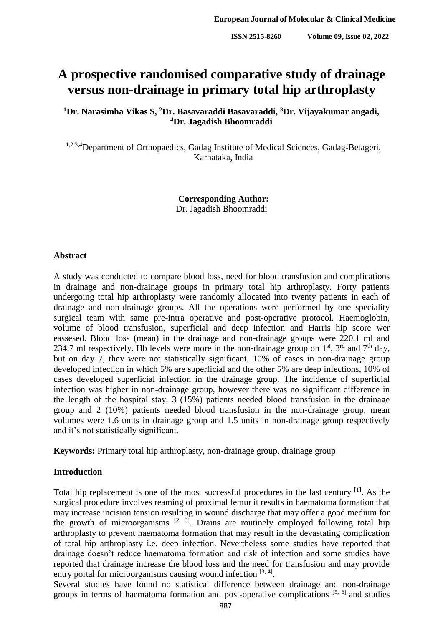# **A prospective randomised comparative study of drainage versus non-drainage in primary total hip arthroplasty**

**<sup>1</sup>Dr. Narasimha Vikas S, <sup>2</sup>Dr. Basavaraddi Basavaraddi, <sup>3</sup>Dr. Vijayakumar angadi, <sup>4</sup>Dr. Jagadish Bhoomraddi**

1,2,3,4 Department of Orthopaedics, Gadag Institute of Medical Sciences, Gadag-Betageri, Karnataka, India

> **Corresponding Author:** Dr. Jagadish Bhoomraddi

### **Abstract**

A study was conducted to compare blood loss, need for blood transfusion and complications in drainage and non-drainage groups in primary total hip arthroplasty. Forty patients undergoing total hip arthroplasty were randomly allocated into twenty patients in each of drainage and non-drainage groups. All the operations were performed by one speciality surgical team with same pre-intra operative and post-operative protocol. Haemoglobin, volume of blood transfusion, superficial and deep infection and Harris hip score wer eassesed. Blood loss (mean) in the drainage and non-drainage groups were 220.1 ml and 234.7 ml respectively. Hb levels were more in the non-drainage group on  $1<sup>st</sup>$ ,  $3<sup>rd</sup>$  and  $7<sup>th</sup>$  day, but on day 7, they were not statistically significant. 10% of cases in non-drainage group developed infection in which 5% are superficial and the other 5% are deep infections, 10% of cases developed superficial infection in the drainage group. The incidence of superficial infection was higher in non-drainage group, however there was no significant difference in the length of the hospital stay. 3 (15%) patients needed blood transfusion in the drainage group and 2 (10%) patients needed blood transfusion in the non-drainage group, mean volumes were 1.6 units in drainage group and 1.5 units in non-drainage group respectively and it's not statistically significant.

**Keywords:** Primary total hip arthroplasty, non-drainage group, drainage group

## **Introduction**

Total hip replacement is one of the most successful procedures in the last century <sup>[1]</sup>. As the surgical procedure involves reaming of proximal femur it results in haematoma formation that may increase incision tension resulting in wound discharge that may offer a good medium for the growth of microorganisms  $[2, 3]$ . Drains are routinely employed following total hip arthroplasty to prevent haematoma formation that may result in the devastating complication of total hip arthroplasty i.e. deep infection. Nevertheless some studies have reported that drainage doesn't reduce haematoma formation and risk of infection and some studies have reported that drainage increase the blood loss and the need for transfusion and may provide entry portal for microorganisms causing wound infection  $[3, 4]$ .

Several studies have found no statistical difference between drainage and non-drainage groups in terms of haematoma formation and post-operative complications [5, 6] and studies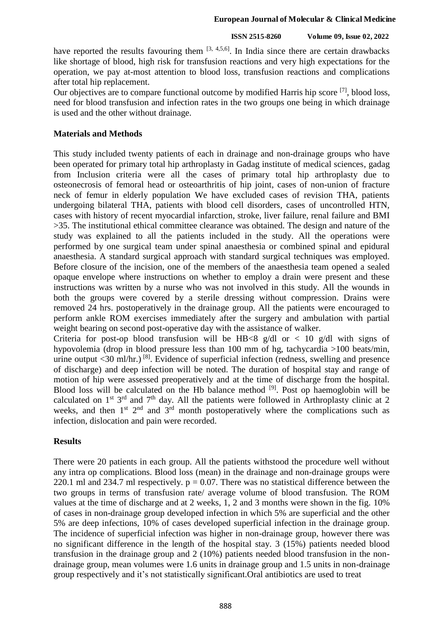#### **European Journal of Molecular & Clinical Medicine**

## **ISSN 2515-8260 Volume 09, Issue 02, 2022**

have reported the results favouring them  $[3, 4, 5, 6]$ . In India since there are certain drawbacks like shortage of blood, high risk for transfusion reactions and very high expectations for the operation, we pay at-most attention to blood loss, transfusion reactions and complications after total hip replacement.

Our objectives are to compare functional outcome by modified Harris hip score <sup>[7]</sup>, blood loss, need for blood transfusion and infection rates in the two groups one being in which drainage is used and the other without drainage.

## **Materials and Methods**

This study included twenty patients of each in drainage and non-drainage groups who have been operated for primary total hip arthroplasty in Gadag institute of medical sciences, gadag from Inclusion criteria were all the cases of primary total hip arthroplasty due to osteonecrosis of femoral head or osteoarthritis of hip joint, cases of non-union of fracture neck of femur in elderly population We have excluded cases of revision THA, patients undergoing bilateral THA, patients with blood cell disorders, cases of uncontrolled HTN, cases with history of recent myocardial infarction, stroke, liver failure, renal failure and BMI >35. The institutional ethical committee clearance was obtained. The design and nature of the study was explained to all the patients included in the study. All the operations were performed by one surgical team under spinal anaesthesia or combined spinal and epidural anaesthesia. A standard surgical approach with standard surgical techniques was employed. Before closure of the incision, one of the members of the anaesthesia team opened a sealed opaque envelope where instructions on whether to employ a drain were present and these instructions was written by a nurse who was not involved in this study. All the wounds in both the groups were covered by a sterile dressing without compression. Drains were removed 24 hrs. postoperatively in the drainage group. All the patients were encouraged to perform ankle ROM exercises immediately after the surgery and ambulation with partial weight bearing on second post-operative day with the assistance of walker.

Criteria for post-op blood transfusion will be HB<8 g/dl or  $\lt 10$  g/dl with signs of hypovolemia (drop in blood pressure less than 100 mm of hg, tachycardia >100 beats/min, urine output <30 ml/hr.)<sup>[8]</sup>. Evidence of superficial infection (redness, swelling and presence of discharge) and deep infection will be noted. The duration of hospital stay and range of motion of hip were assessed preoperatively and at the time of discharge from the hospital. Blood loss will be calculated on the Hb balance method  $[9]$ . Post op haemoglobin will be calculated on  $1<sup>st</sup> 3<sup>rd</sup>$  and  $7<sup>th</sup>$  day. All the patients were followed in Arthroplasty clinic at 2 weeks, and then  $1<sup>st</sup>$   $2<sup>nd</sup>$  and  $3<sup>rd</sup>$  month postoperatively where the complications such as infection, dislocation and pain were recorded.

## **Results**

There were 20 patients in each group. All the patients withstood the procedure well without any intra op complications. Blood loss (mean) in the drainage and non-drainage groups were 220.1 ml and 234.7 ml respectively.  $p = 0.07$ . There was no statistical difference between the two groups in terms of transfusion rate/ average volume of blood transfusion. The ROM values at the time of discharge and at 2 weeks, 1, 2 and 3 months were shown in the fig. 10% of cases in non-drainage group developed infection in which 5% are superficial and the other 5% are deep infections, 10% of cases developed superficial infection in the drainage group. The incidence of superficial infection was higher in non-drainage group, however there was no significant difference in the length of the hospital stay. 3 (15%) patients needed blood transfusion in the drainage group and 2 (10%) patients needed blood transfusion in the nondrainage group, mean volumes were 1.6 units in drainage group and 1.5 units in non-drainage group respectively and it's not statistically significant.Oral antibiotics are used to treat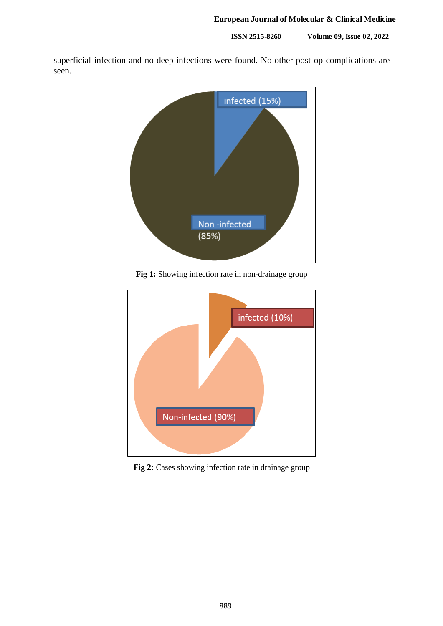**ISSN 2515-8260 Volume 09, Issue 02, 2022**

superficial infection and no deep infections were found. No other post-op complications are seen.



**Fig 1:** Showing infection rate in non-drainage group



Fig 2: Cases showing infection rate in drainage group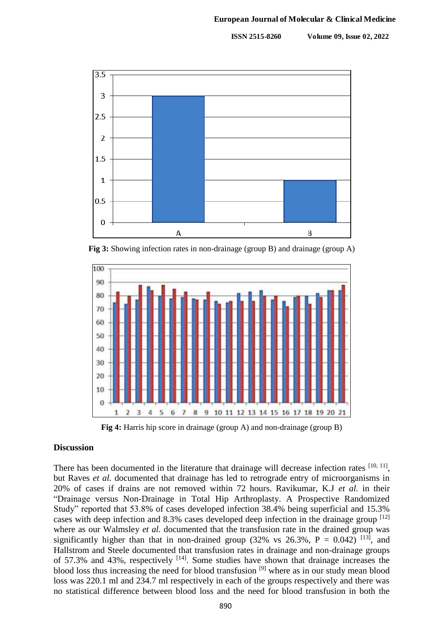**ISSN 2515-8260 Volume 09, Issue 02, 2022**



**Fig 3:** Showing infection rates in non-drainage (group B) and drainage (group A)



**Fig 4:** Harris hip score in drainage (group A) and non-drainage (group B)

## **Discussion**

There has been documented in the literature that drainage will decrease infection rates [10, 11], but Raves *et al.* documented that drainage has led to retrograde entry of microorganisms in 20% of cases if drains are not removed within 72 hours. Ravikumar, K.J *et al.* in their "Drainage versus Non-Drainage in Total Hip Arthroplasty. A Prospective Randomized Study" reported that 53.8% of cases developed infection 38.4% being superficial and 15.3% cases with deep infection and 8.3% cases developed deep infection in the drainage group  $[12]$ where as our Walmsley *et al.* documented that the transfusion rate in the drained group was significantly higher than that in non-drained group (32% vs 26.3%,  $P = 0.042$ ) <sup>[13]</sup>, and Hallstrom and Steele documented that transfusion rates in drainage and non-drainage groups of 57.3% and 43%, respectively  $[14]$ . Some studies have shown that drainage increases the blood loss thus increasing the need for blood transfusion<sup>[9]</sup> where as in our study mean blood loss was 220.1 ml and 234.7 ml respectively in each of the groups respectively and there was no statistical difference between blood loss and the need for blood transfusion in both the